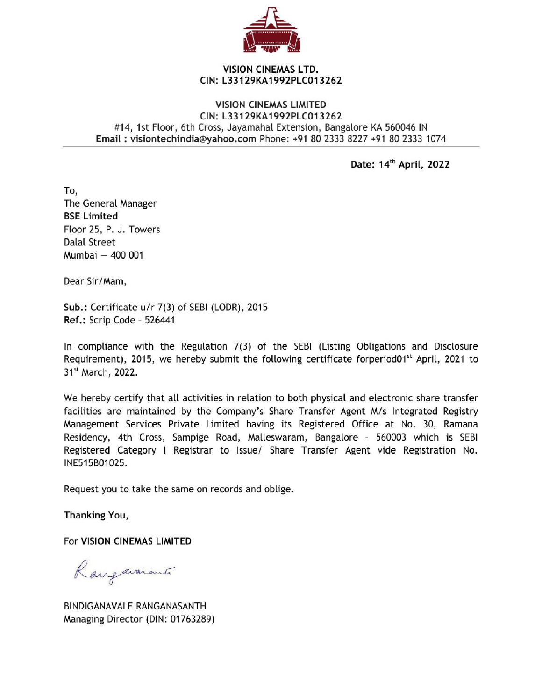

## VISION CINEMAS LTD. CIN: L33129KA1992PLC013262

## VISION CINEMAS LIMITED CIN: L33129KA1992PLC013262 #14, 1st Floor, 6th Cross, Jayamahal Extension, Bangalore KA 560046 IN Email : visiontechindia@yahoo.com Phone: +91 80 2333 8227 +91 80 2333 1074

Date: 14" April, 2022

To, The General Manager BSE Limited Floor 25, P. J. Towers Dalal Street Mumbai — 400 001

Dear Sir/Mam,

Sub.: Certificate u/r 7(3) of SEBI (LODR), 2015 Ref.: Scrip Code - 526441

In compliance with the Regulation 7(3) of the SEBI (Listing Obligations and Disclosure Requirement), 2015, we hereby submit the following certificate forperiod01<sup>st</sup> April, 2021 to 31<sup>st</sup> March, 2022.

We hereby certify that all activities in relation to both physical and electronic share transfer facilities are maintained by the Company's Share Transfer Agent M/s Integrated Registry Management Services Private Limited having its Registered Office at No. 30, Ramana Residency, 4th Cross, Sampige Road, Malleswaram, Bangalore - 560003 which is SEBI Registered Category I Registrar to Issue/ Share Transfer Agent vide Registration No. INE515B01025.

Request you to take the same on records and oblige.

Thanking You,

For VISION CINEMAS LIMITED

Rangavarants

BINDIGANAVALE RANGANASANTH Managing Director (DIN: 01763289)